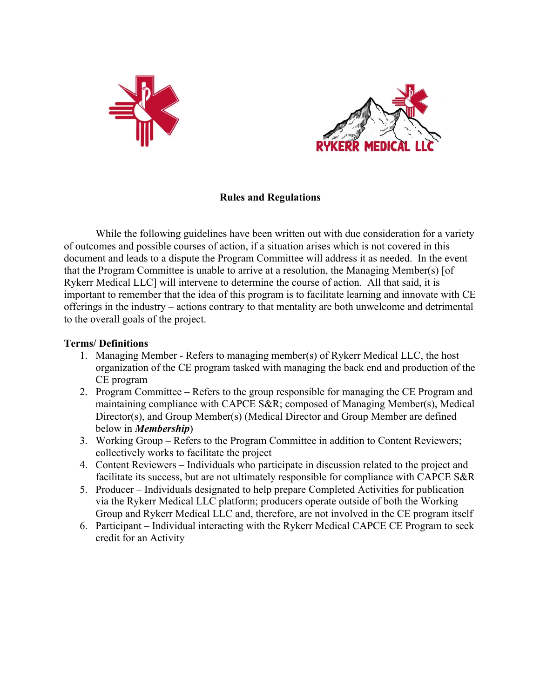



### **Rules and Regulations**

While the following guidelines have been written out with due consideration for a variety of outcomes and possible courses of action, if a situation arises which is not covered in this document and leads to a dispute the Program Committee will address it as needed. In the event that the Program Committee is unable to arrive at a resolution, the Managing Member(s) [of Rykerr Medical LLC] will intervene to determine the course of action. All that said, it is important to remember that the idea of this program is to facilitate learning and innovate with CE offerings in the industry – actions contrary to that mentality are both unwelcome and detrimental to the overall goals of the project.

#### **Terms/ Definitions**

- 1. Managing Member Refers to managing member(s) of Rykerr Medical LLC, the host organization of the CE program tasked with managing the back end and production of the CE program
- 2. Program Committee Refers to the group responsible for managing the CE Program and maintaining compliance with CAPCE S&R; composed of Managing Member(s), Medical Director(s), and Group Member(s) (Medical Director and Group Member are defined below in *Membership*)
- 3. Working Group Refers to the Program Committee in addition to Content Reviewers; collectively works to facilitate the project
- 4. Content Reviewers Individuals who participate in discussion related to the project and facilitate its success, but are not ultimately responsible for compliance with CAPCE S&R
- 5. Producer Individuals designated to help prepare Completed Activities for publication via the Rykerr Medical LLC platform; producers operate outside of both the Working Group and Rykerr Medical LLC and, therefore, are not involved in the CE program itself
- 6. Participant Individual interacting with the Rykerr Medical CAPCE CE Program to seek credit for an Activity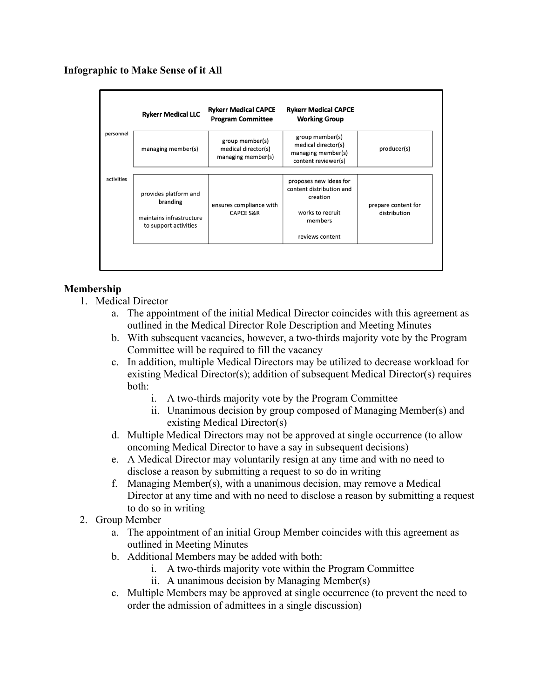# **Infographic to Make Sense of it All**

|            | <b>Rykerr Medical LLC</b>                                                              | <b>Rykerr Medical CAPCE</b><br><b>Program Committee</b>      | <b>Rykerr Medical CAPCE</b><br><b>Working Group</b>                                                              |                                     |
|------------|----------------------------------------------------------------------------------------|--------------------------------------------------------------|------------------------------------------------------------------------------------------------------------------|-------------------------------------|
| personnel  | managing member(s)                                                                     | group member(s)<br>medical director(s)<br>managing member(s) | group member(s)<br>medical director(s)<br>managing member(s)<br>content reviewer(s)                              | producer(s)                         |
| activities | provides platform and<br>branding<br>maintains infrastructure<br>to support activities | ensures compliance with<br><b>CAPCE S&amp;R</b>              | proposes new ideas for<br>content distribution and<br>creation<br>works to recruit<br>members<br>reviews content | prepare content for<br>distribution |

# **Membership**

- 1. Medical Director
	- a. The appointment of the initial Medical Director coincides with this agreement as outlined in the Medical Director Role Description and Meeting Minutes
	- b. With subsequent vacancies, however, a two-thirds majority vote by the Program Committee will be required to fill the vacancy
	- c. In addition, multiple Medical Directors may be utilized to decrease workload for existing Medical Director(s); addition of subsequent Medical Director(s) requires both:
		- i. A two-thirds majority vote by the Program Committee
		- ii. Unanimous decision by group composed of Managing Member(s) and existing Medical Director(s)
	- d. Multiple Medical Directors may not be approved at single occurrence (to allow oncoming Medical Director to have a say in subsequent decisions)
	- e. A Medical Director may voluntarily resign at any time and with no need to disclose a reason by submitting a request to so do in writing
	- f. Managing Member(s), with a unanimous decision, may remove a Medical Director at any time and with no need to disclose a reason by submitting a request to do so in writing
- 2. Group Member
	- a. The appointment of an initial Group Member coincides with this agreement as outlined in Meeting Minutes
	- b. Additional Members may be added with both:
		- i. A two-thirds majority vote within the Program Committee
		- ii. A unanimous decision by Managing Member(s)
	- c. Multiple Members may be approved at single occurrence (to prevent the need to order the admission of admittees in a single discussion)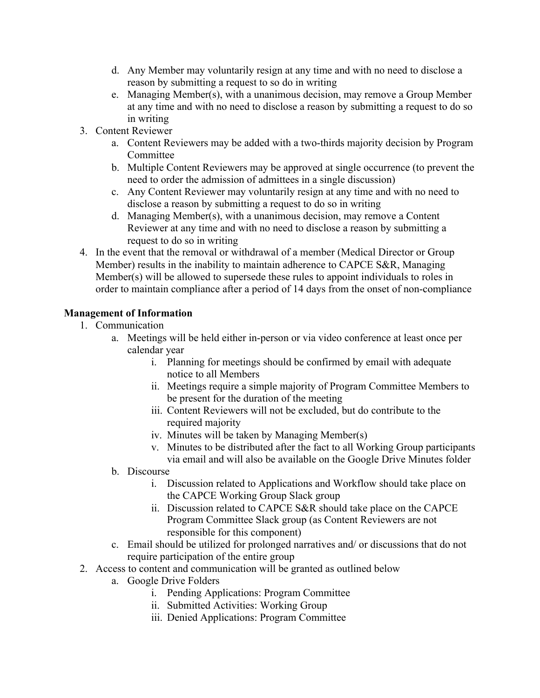- d. Any Member may voluntarily resign at any time and with no need to disclose a reason by submitting a request to so do in writing
- e. Managing Member(s), with a unanimous decision, may remove a Group Member at any time and with no need to disclose a reason by submitting a request to do so in writing
- 3. Content Reviewer
	- a. Content Reviewers may be added with a two-thirds majority decision by Program Committee
	- b. Multiple Content Reviewers may be approved at single occurrence (to prevent the need to order the admission of admittees in a single discussion)
	- c. Any Content Reviewer may voluntarily resign at any time and with no need to disclose a reason by submitting a request to do so in writing
	- d. Managing Member(s), with a unanimous decision, may remove a Content Reviewer at any time and with no need to disclose a reason by submitting a request to do so in writing
- 4. In the event that the removal or withdrawal of a member (Medical Director or Group Member) results in the inability to maintain adherence to CAPCE S&R, Managing Member(s) will be allowed to supersede these rules to appoint individuals to roles in order to maintain compliance after a period of 14 days from the onset of non-compliance

## **Management of Information**

- 1. Communication
	- a. Meetings will be held either in-person or via video conference at least once per calendar year
		- i. Planning for meetings should be confirmed by email with adequate notice to all Members
		- ii. Meetings require a simple majority of Program Committee Members to be present for the duration of the meeting
		- iii. Content Reviewers will not be excluded, but do contribute to the required majority
		- iv. Minutes will be taken by Managing Member(s)
		- v. Minutes to be distributed after the fact to all Working Group participants via email and will also be available on the Google Drive Minutes folder

## b. Discourse

- i. Discussion related to Applications and Workflow should take place on the CAPCE Working Group Slack group
- ii. Discussion related to CAPCE S&R should take place on the CAPCE Program Committee Slack group (as Content Reviewers are not responsible for this component)
- c. Email should be utilized for prolonged narratives and/ or discussions that do not require participation of the entire group
- 2. Access to content and communication will be granted as outlined below
	- a. Google Drive Folders
		- i. Pending Applications: Program Committee
		- ii. Submitted Activities: Working Group
		- iii. Denied Applications: Program Committee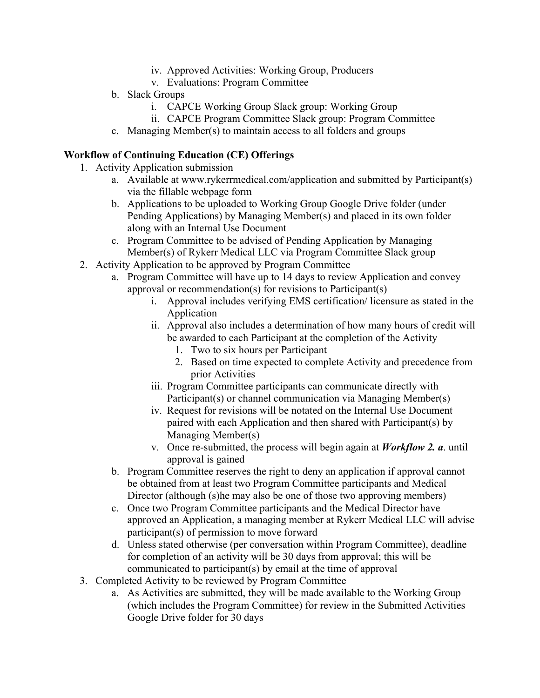- iv. Approved Activities: Working Group, Producers
- v. Evaluations: Program Committee
- b. Slack Groups
	- i. CAPCE Working Group Slack group: Working Group
	- ii. CAPCE Program Committee Slack group: Program Committee
- c. Managing Member(s) to maintain access to all folders and groups

## **Workflow of Continuing Education (CE) Offerings**

- 1. Activity Application submission
	- a. Available at www.rykerrmedical.com/application and submitted by Participant(s) via the fillable webpage form
	- b. Applications to be uploaded to Working Group Google Drive folder (under Pending Applications) by Managing Member(s) and placed in its own folder along with an Internal Use Document
	- c. Program Committee to be advised of Pending Application by Managing Member(s) of Rykerr Medical LLC via Program Committee Slack group
- 2. Activity Application to be approved by Program Committee
	- a. Program Committee will have up to 14 days to review Application and convey approval or recommendation(s) for revisions to Participant(s)
		- i. Approval includes verifying EMS certification/ licensure as stated in the Application
		- ii. Approval also includes a determination of how many hours of credit will be awarded to each Participant at the completion of the Activity
			- 1. Two to six hours per Participant
			- 2. Based on time expected to complete Activity and precedence from prior Activities
		- iii. Program Committee participants can communicate directly with Participant(s) or channel communication via Managing Member(s)
		- iv. Request for revisions will be notated on the Internal Use Document paired with each Application and then shared with Participant(s) by Managing Member(s)
		- v. Once re-submitted, the process will begin again at *Workflow 2. a*. until approval is gained
	- b. Program Committee reserves the right to deny an application if approval cannot be obtained from at least two Program Committee participants and Medical Director (although (s)he may also be one of those two approving members)
	- c. Once two Program Committee participants and the Medical Director have approved an Application, a managing member at Rykerr Medical LLC will advise participant(s) of permission to move forward
	- d. Unless stated otherwise (per conversation within Program Committee), deadline for completion of an activity will be 30 days from approval; this will be communicated to participant(s) by email at the time of approval
- 3. Completed Activity to be reviewed by Program Committee
	- a. As Activities are submitted, they will be made available to the Working Group (which includes the Program Committee) for review in the Submitted Activities Google Drive folder for 30 days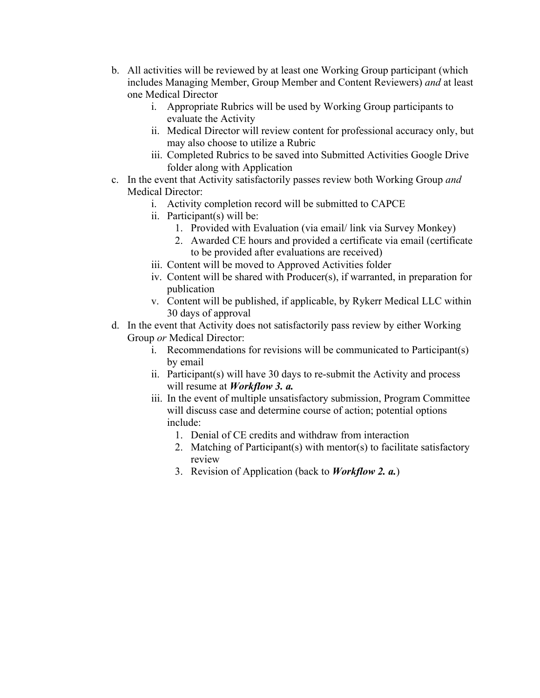- b. All activities will be reviewed by at least one Working Group participant (which includes Managing Member, Group Member and Content Reviewers) *and* at least one Medical Director
	- i. Appropriate Rubrics will be used by Working Group participants to evaluate the Activity
	- ii. Medical Director will review content for professional accuracy only, but may also choose to utilize a Rubric
	- iii. Completed Rubrics to be saved into Submitted Activities Google Drive folder along with Application
- c. In the event that Activity satisfactorily passes review both Working Group *and* Medical Director:
	- i. Activity completion record will be submitted to CAPCE
	- ii. Participant(s) will be:
		- 1. Provided with Evaluation (via email/ link via Survey Monkey)
		- 2. Awarded CE hours and provided a certificate via email (certificate to be provided after evaluations are received)
	- iii. Content will be moved to Approved Activities folder
	- iv. Content will be shared with Producer(s), if warranted, in preparation for publication
	- v. Content will be published, if applicable, by Rykerr Medical LLC within 30 days of approval
- d. In the event that Activity does not satisfactorily pass review by either Working Group *or* Medical Director:
	- i. Recommendations for revisions will be communicated to Participant(s) by email
	- ii. Participant(s) will have 30 days to re-submit the Activity and process will resume at *Workflow 3. a.*
	- iii. In the event of multiple unsatisfactory submission, Program Committee will discuss case and determine course of action; potential options include:
		- 1. Denial of CE credits and withdraw from interaction
		- 2. Matching of Participant(s) with mentor(s) to facilitate satisfactory review
		- 3. Revision of Application (back to *Workflow 2. a.*)